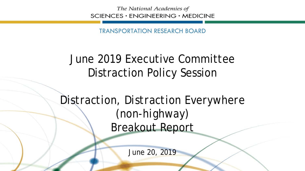The National Academies of SCIENCES · ENGINEERING · MEDICINE

TRANSPORTATION RESEARCH BOARD

## June 2019 Executive Committee Distraction Policy Session

*Distraction, Distraction Everywhere (non-highway)*  Breakout Report

June 20, 2019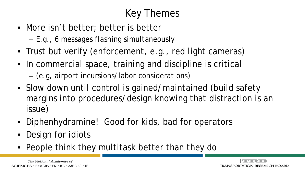## Key Themes

- More isn't better; better is better
	- E.g., 6 messages flashing simultaneously
- Trust but verify (enforcement, e.g., red light cameras)
- In commercial space, training and discipline is critical
	- (e.g, airport incursions/labor considerations)
- Slow down until control is gained/maintained (build safety margins into procedures/design knowing that distraction is an issue)
- Diphenhydramine! Good for kids, bad for operators
- **Design for idiots**
- People think they multitask better than they do

The National Academies of SCIENCES · ENGINEERING · MEDICINE